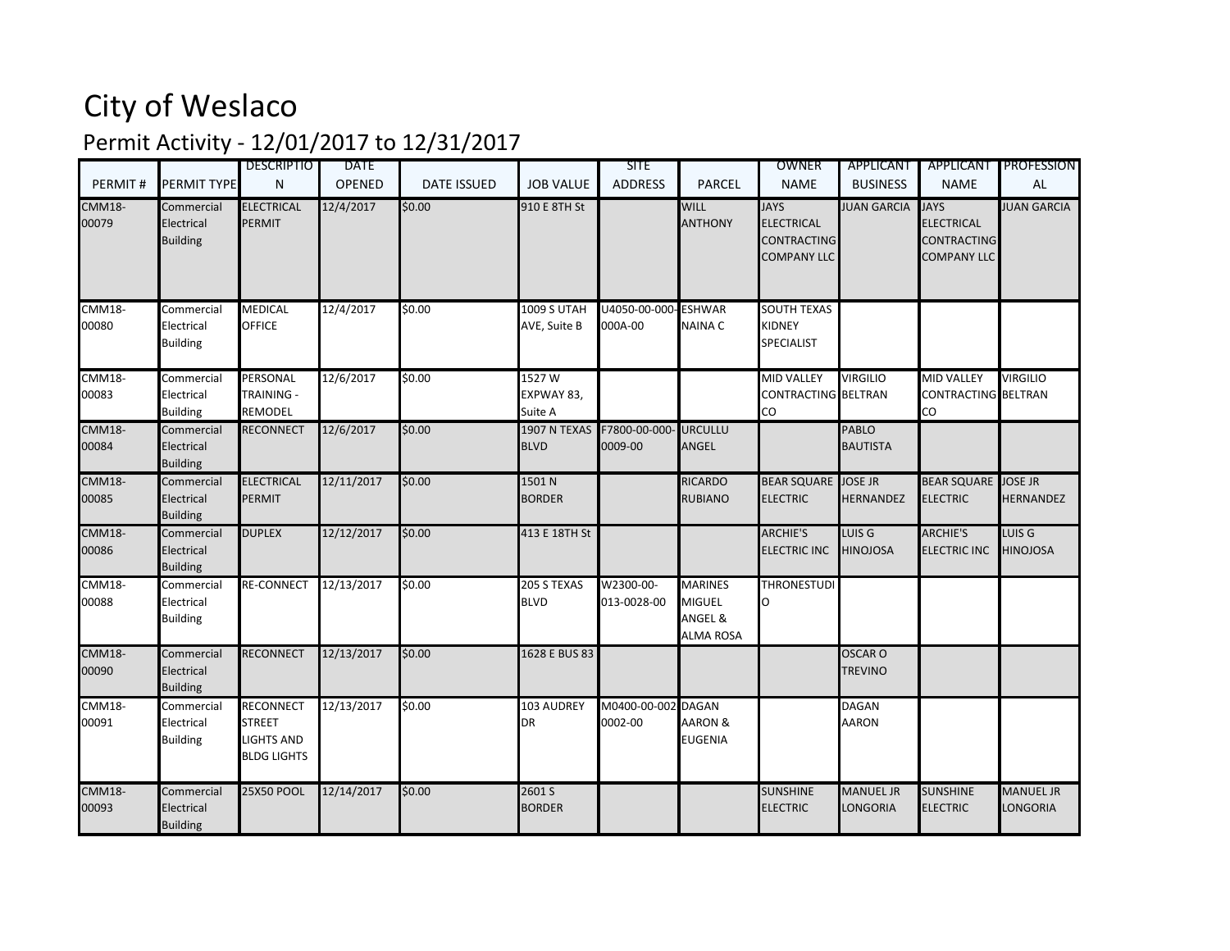## City of Weslaco

## Permit Activity - 12/01/2017 to 12/31/2017

|                        |                                             | <b>DESCRIPTIO</b>                                                           | <b>DATE</b>   |                    |                                    | <b>SITE</b>                                    |                                                                | <b>OWNER</b>                                                                 | APPLICANT                            | <b>APPLICANT</b>                                                             | <b>PROFESSION</b>                    |
|------------------------|---------------------------------------------|-----------------------------------------------------------------------------|---------------|--------------------|------------------------------------|------------------------------------------------|----------------------------------------------------------------|------------------------------------------------------------------------------|--------------------------------------|------------------------------------------------------------------------------|--------------------------------------|
| PERMIT#                | PERMIT TYPE                                 | N                                                                           | <b>OPENED</b> | <b>DATE ISSUED</b> | <b>JOB VALUE</b>                   | <b>ADDRESS</b>                                 | <b>PARCEL</b>                                                  | <b>NAME</b>                                                                  | <b>BUSINESS</b>                      | <b>NAME</b>                                                                  | <b>AL</b>                            |
| <b>CMM18-</b><br>00079 | Commercial<br>Electrical<br><b>Building</b> | <b>ELECTRICAL</b><br><b>PERMIT</b>                                          | 12/4/2017     | \$0.00             | 910 E 8TH St                       |                                                | <b>WILL</b><br><b>ANTHONY</b>                                  | <b>JAYS</b><br><b>ELECTRICAL</b><br><b>CONTRACTING</b><br><b>COMPANY LLC</b> | <b>JUAN GARCIA</b>                   | <b>JAYS</b><br><b>ELECTRICAL</b><br><b>CONTRACTING</b><br><b>COMPANY LLC</b> | <b>JUAN GARCIA</b>                   |
| <b>CMM18-</b><br>00080 | Commercial<br>Electrical<br><b>Building</b> | <b>MEDICAL</b><br><b>OFFICE</b>                                             | 12/4/2017     | \$0.00             | <b>1009 S UTAH</b><br>AVE, Suite B | U4050-00-000-ESHWAR<br>000A-00                 | <b>NAINA C</b>                                                 | <b>SOUTH TEXAS</b><br><b>KIDNEY</b><br><b>SPECIALIST</b>                     |                                      |                                                                              |                                      |
| <b>CMM18-</b><br>00083 | Commercial<br>Electrical<br><b>Building</b> | PERSONAL<br>TRAINING -<br>REMODEL                                           | 12/6/2017     | \$0.00             | 1527W<br>EXPWAY 83,<br>Suite A     |                                                |                                                                | <b>MID VALLEY</b><br>CONTRACTING BELTRAN<br>CO                               | <b>VIRGILIO</b>                      | <b>MID VALLEY</b><br>CONTRACTING BELTRAN<br>CO                               | <b>VIRGILIO</b>                      |
| <b>CMM18-</b><br>00084 | Commercial<br>Electrical<br><b>Building</b> | <b>RECONNECT</b>                                                            | 12/6/2017     | \$0.00             | <b>BLVD</b>                        | 1907 N TEXAS  F7800-00-000- URCULLU<br>0009-00 | ANGEL                                                          |                                                                              | <b>PABLO</b><br><b>BAUTISTA</b>      |                                                                              |                                      |
| <b>CMM18-</b><br>00085 | Commercial<br>Electrical<br><b>Building</b> | <b>ELECTRICAL</b><br><b>PERMIT</b>                                          | 12/11/2017    | \$0.00             | 1501N<br><b>BORDER</b>             |                                                | <b>RICARDO</b><br><b>RUBIANO</b>                               | BEAR SQUARE JOSE JR<br><b>ELECTRIC</b>                                       | <b>HERNANDEZ</b>                     | BEAR SQUARE JOSE JR<br><b>ELECTRIC</b>                                       | <b>HERNANDEZ</b>                     |
| <b>CMM18-</b><br>00086 | Commercial<br>Electrical<br><b>Building</b> | <b>DUPLEX</b>                                                               | 12/12/2017    | \$0.00             | 413 E 18TH St                      |                                                |                                                                | <b>ARCHIE'S</b><br><b>ELECTRIC INC</b>                                       | LUIS <sub>G</sub><br><b>HINOJOSA</b> | <b>ARCHIE'S</b><br><b>ELECTRIC INC</b>                                       | LUIS <sub>G</sub><br><b>HINOJOSA</b> |
| <b>CMM18-</b><br>00088 | Commercial<br>Electrical<br><b>Building</b> | <b>RE-CONNECT</b>                                                           | 12/13/2017    | 50.00              | 205 S TEXAS<br><b>BLVD</b>         | W2300-00-<br>013-0028-00                       | <b>MARINES</b><br><b>MIGUEL</b><br>ANGEL &<br><b>ALMA ROSA</b> | <b>THRONESTUDI</b><br>റ                                                      |                                      |                                                                              |                                      |
| <b>CMM18-</b><br>00090 | Commercial<br>Electrical<br><b>Building</b> | <b>RECONNECT</b>                                                            | 12/13/2017    | \$0.00             | 1628 E BUS 83                      |                                                |                                                                |                                                                              | <b>OSCAR O</b><br><b>TREVINO</b>     |                                                                              |                                      |
| <b>CMM18-</b><br>00091 | Commercial<br>Electrical<br><b>Building</b> | <b>RECONNECT</b><br><b>STREET</b><br><b>IGHTS AND</b><br><b>BLDG LIGHTS</b> | 12/13/2017    | \$0.00             | 103 AUDREY<br>DR                   | M0400-00-002 DAGAN<br>0002-00                  | <b>AARON &amp;</b><br><b>EUGENIA</b>                           |                                                                              | <b>DAGAN</b><br>AARON                |                                                                              |                                      |
| <b>CMM18-</b><br>00093 | Commercial<br>Electrical<br><b>Building</b> | <b>25X50 POOL</b>                                                           | 12/14/2017    | \$0.00             | 2601S<br><b>BORDER</b>             |                                                |                                                                | <b>SUNSHINE</b><br><b>ELECTRIC</b>                                           | <b>MANUEL JR</b><br>LONGORIA         | <b>SUNSHINE</b><br><b>ELECTRIC</b>                                           | <b>MANUEL JR</b><br>LONGORIA         |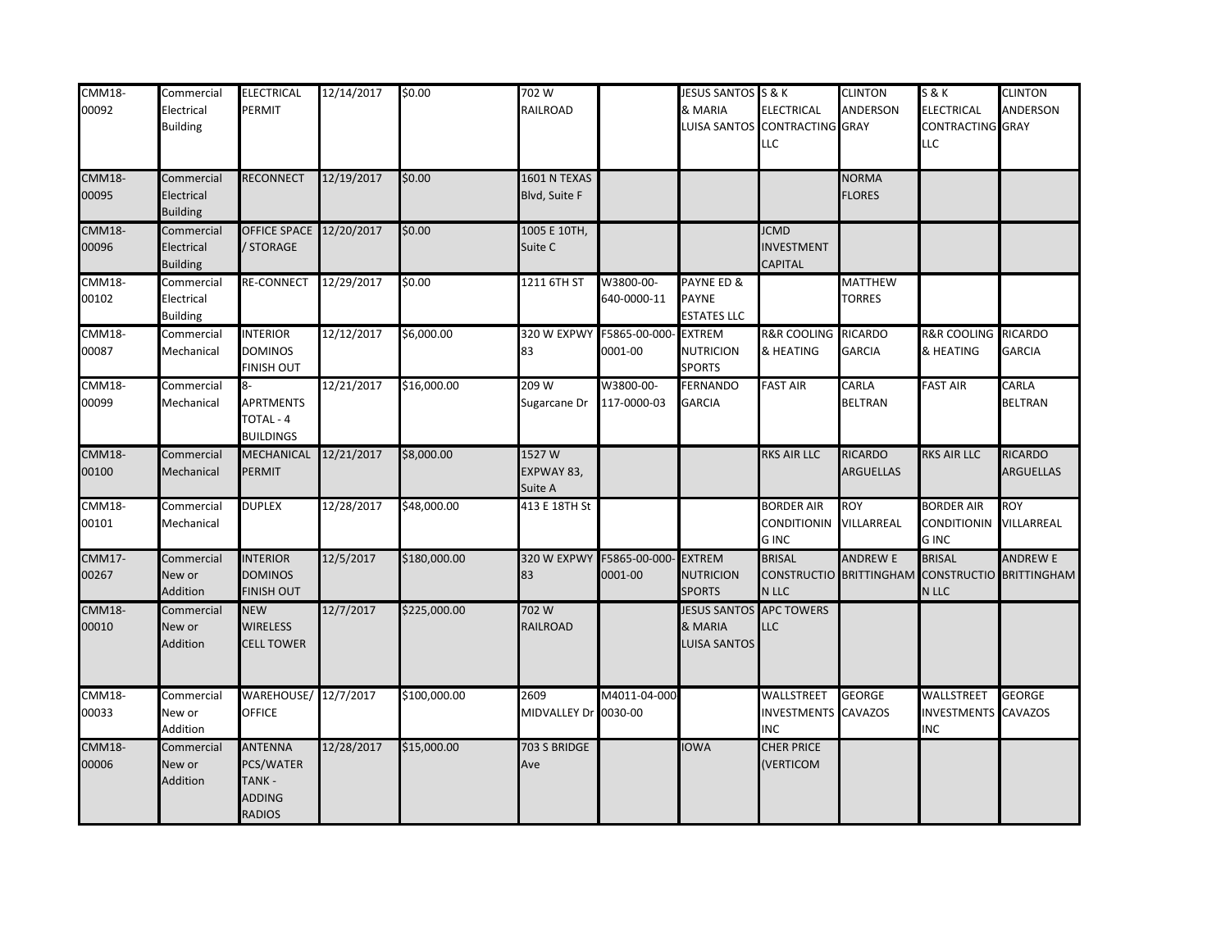| <b>CMM18-</b><br>00092 | Commercial<br>Electrical<br><b>Building</b> | <b>ELECTRICAL</b><br>PERMIT                                      | 12/14/2017 | \$0.00       | 702 W<br><b>RAILROAD</b>       |                                             | JESUS SANTOS S & K<br>& MARIA                         | <b>ELECTRICAL</b><br>LUISA SANTOS CONTRACTING GRAY<br>LLC | <b>CLINTON</b><br>ANDERSON                 | <b>S&amp;K</b><br>ELECTRICAL<br>CONTRACTING GRAY<br>LLC | <b>CLINTON</b><br>ANDERSON                 |
|------------------------|---------------------------------------------|------------------------------------------------------------------|------------|--------------|--------------------------------|---------------------------------------------|-------------------------------------------------------|-----------------------------------------------------------|--------------------------------------------|---------------------------------------------------------|--------------------------------------------|
| <b>CMM18-</b><br>00095 | Commercial<br>Electrical<br><b>Building</b> | <b>RECONNECT</b>                                                 | 12/19/2017 | \$0.00       | 1601 N TEXAS<br>Blvd, Suite F  |                                             |                                                       |                                                           | <b>NORMA</b><br><b>FLORES</b>              |                                                         |                                            |
| <b>CMM18-</b><br>00096 | Commercial<br>Electrical<br><b>Building</b> | <b>OFFICE SPACE 12/20/2017</b><br>/ STORAGE                      |            | \$0.00       | 1005 E 10TH,<br>Suite C        |                                             |                                                       | <b>JCMD</b><br><b>INVESTMENT</b><br>CAPITAL               |                                            |                                                         |                                            |
| <b>CMM18-</b><br>00102 | Commercial<br>Electrical<br><b>Building</b> | RE-CONNECT                                                       | 12/29/2017 | \$0.00       | 1211 6TH ST                    | W3800-00-<br>640-0000-11                    | PAYNE ED &<br><b>PAYNE</b><br><b>ESTATES LLC</b>      |                                                           | MATTHEW<br><b>TORRES</b>                   |                                                         |                                            |
| <b>CMM18-</b><br>00087 | Commercial<br>Mechanical                    | <b>INTERIOR</b><br><b>DOMINOS</b><br><b>FINISH OUT</b>           | 12/12/2017 | \$6,000.00   | 320 W EXPWY<br>83              | F5865-00-000<br>0001-00                     | <b>EXTREM</b><br><b>NUTRICION</b><br><b>SPORTS</b>    | <b>R&amp;R COOLING</b><br>& HEATING                       | <b>RICARDO</b><br><b>GARCIA</b>            | <b>R&amp;R COOLING</b><br>& HEATING                     | <b>RICARDO</b><br><b>GARCIA</b>            |
| <b>CMM18-</b><br>00099 | Commercial<br>Mechanical                    | 8-<br><b>APRTMENTS</b><br>TOTAL - 4<br><b>BUILDINGS</b>          | 12/21/2017 | \$16,000.00  | 209 W<br>Sugarcane Dr          | W3800-00-<br>117-0000-03                    | <b>FERNANDO</b><br><b>GARCIA</b>                      | <b>FAST AIR</b>                                           | CARLA<br><b>BELTRAN</b>                    | <b>FAST AIR</b>                                         | CARLA<br><b>BELTRAN</b>                    |
| <b>CMM18-</b><br>00100 | Commercial<br>Mechanical                    | <b>MECHANICAL</b><br>PERMIT                                      | 12/21/2017 | \$8,000.00   | 1527W<br>EXPWAY 83,<br>Suite A |                                             |                                                       | RKS AIR LLC                                               | <b>RICARDO</b><br><b>ARGUELLAS</b>         | <b>RKS AIR LLC</b>                                      | <b>RICARDO</b><br><b>ARGUELLAS</b>         |
| <b>CMM18-</b><br>00101 | Commercial<br>Mechanical                    | <b>DUPLEX</b>                                                    | 12/28/2017 | \$48,000.00  | 413 E 18TH St                  |                                             |                                                       | <b>BORDER AIR</b><br><b>CONDITIONIN</b><br><b>GINC</b>    | <b>ROY</b><br>VILLARREAL                   | <b>BORDER AIR</b><br><b>CONDITIONIN</b><br><b>GINC</b>  | <b>ROY</b><br>VILLARREAL                   |
| <b>CMM17-</b><br>00267 | Commercial<br>New or<br>Addition            | <b>NTERIOR</b><br><b>DOMINOS</b><br><b>FINISH OUT</b>            | 12/5/2017  | \$180,000.00 | 83                             | 320 W EXPWY F5865-00-000- EXTREM<br>0001-00 | <b>NUTRICION</b><br><b>SPORTS</b>                     | <b>BRISAL</b><br>N LLC                                    | <b>ANDREW E</b><br>CONSTRUCTIO BRITTINGHAM | <b>BRISAL</b><br>N LLC                                  | <b>ANDREW E</b><br>CONSTRUCTIO BRITTINGHAM |
| <b>CMM18-</b><br>00010 | Commercial<br>New or<br>Addition            | <b>NEW</b><br><b>WIRELESS</b><br><b>CELL TOWER</b>               | 12/7/2017  | \$225,000.00 | 702 W<br><b>RAILROAD</b>       |                                             | <b>JESUS SANTOS</b><br>& MARIA<br><b>LUISA SANTOS</b> | <b>APC TOWERS</b><br>LLC                                  |                                            |                                                         |                                            |
| <b>CMM18-</b><br>00033 | Commercial<br>New or<br>Addition            | WAREHOUSE/ 12/7/2017<br><b>OFFICE</b>                            |            | \$100,000.00 | 2609<br>MIDVALLEY Dr 0030-00   | M4011-04-000                                |                                                       | WALLSTREET<br><b>INVESTMENTS CAVAZOS</b><br><b>INC</b>    | <b>GEORGE</b>                              | WALLSTREET<br><b>INVESTMENTS</b><br><b>INC</b>          | <b>GEORGE</b><br><b>CAVAZOS</b>            |
| <b>CMM18-</b><br>00006 | Commercial<br>New or<br>Addition            | <b>ANTENNA</b><br>PCS/WATER<br>TANK -<br>ADDING<br><b>RADIOS</b> | 12/28/2017 | \$15,000.00  | 703 S BRIDGE<br>Ave            |                                             | <b>IOWA</b>                                           | <b>CHER PRICE</b><br>(VERTICOM                            |                                            |                                                         |                                            |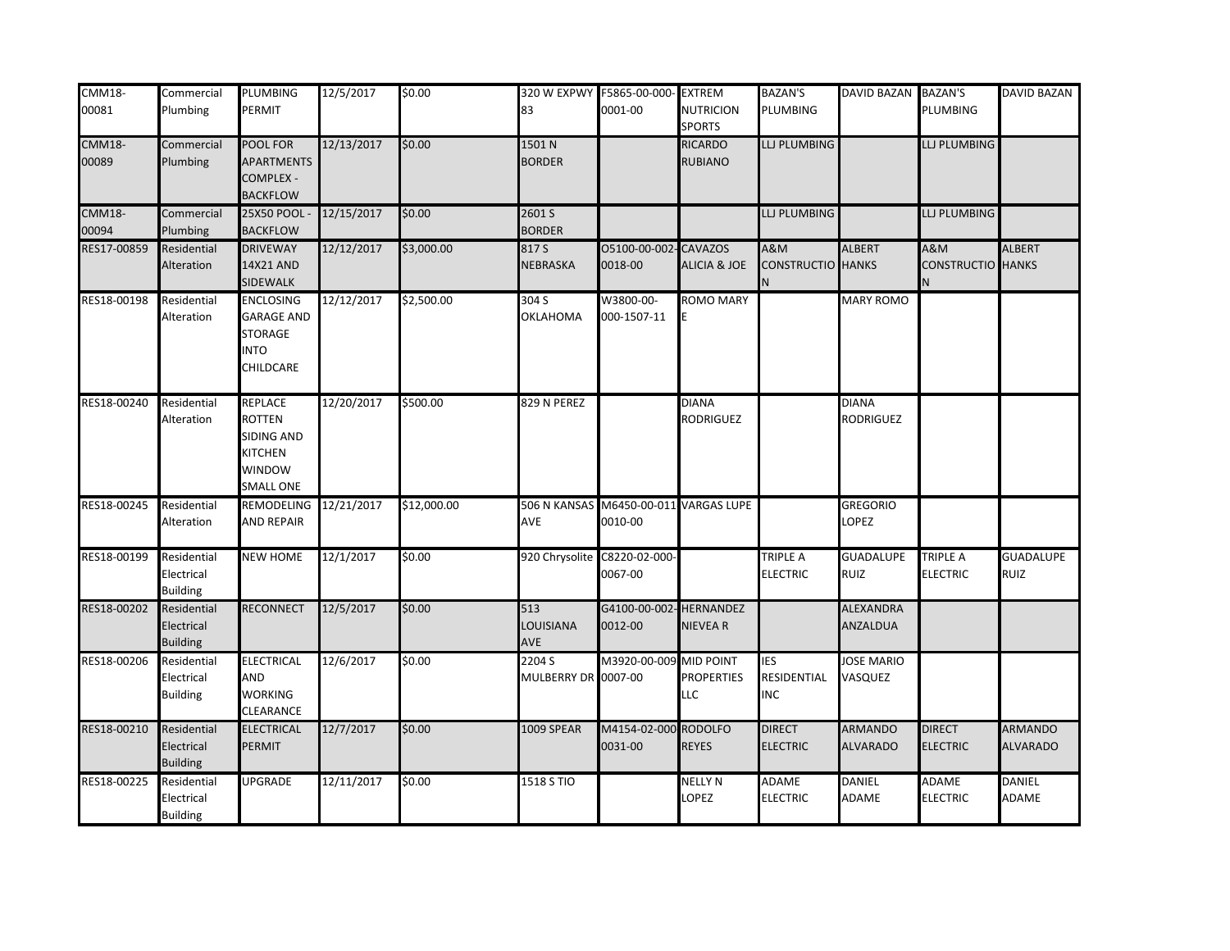| <b>CMM18-</b><br>00081 | Commercial<br>Plumbing                       | <b>PLUMBING</b><br>PERMIT                                                       | 12/5/2017  | \$0.00      | 83                            | 320 W EXPWY F5865-00-000- EXTREM<br>0001-00 | <b>NUTRICION</b>                             | <b>BAZAN'S</b><br>PLUMBING                | DAVID BAZAN BAZAN'S               | PLUMBING                                   | DAVID BAZAN                       |
|------------------------|----------------------------------------------|---------------------------------------------------------------------------------|------------|-------------|-------------------------------|---------------------------------------------|----------------------------------------------|-------------------------------------------|-----------------------------------|--------------------------------------------|-----------------------------------|
|                        |                                              |                                                                                 |            |             |                               |                                             | <b>SPORTS</b>                                |                                           |                                   |                                            |                                   |
| <b>CMM18-</b><br>00089 | Commercial<br>Plumbing                       | POOL FOR<br><b>APARTMENTS</b><br><b>COMPLEX -</b><br><b>BACKFLOW</b>            | 12/13/2017 | \$0.00      | 1501 N<br><b>BORDER</b>       |                                             | <b>RICARDO</b><br><b>RUBIANO</b>             | LLJ PLUMBING                              |                                   | LI PLUMBING                                |                                   |
| <b>CMM18-</b>          | Commercial                                   | <b>25X50 POOL</b>                                                               | 12/15/2017 | \$0.00      | 2601 S                        |                                             |                                              | LLJ PLUMBING                              |                                   | LI PLUMBING                                |                                   |
| 00094                  | Plumbing                                     | <b>BACKFLOW</b>                                                                 |            |             | <b>BORDER</b>                 |                                             |                                              |                                           |                                   |                                            |                                   |
| RES17-00859            | Residential<br>Alteration                    | <b>DRIVEWAY</b><br>14X21 AND<br>SIDEWALK                                        | 12/12/2017 | \$3,000.00  | 817 S<br>NEBRASKA             | 05100-00-002<br>0018-00                     | -CAVAZOS<br><b>ALICIA &amp; JOE</b>          | <b>A&amp;M</b><br><b>CONSTRUCTIO</b><br>N | <b>ALBERT</b><br><b>HANKS</b>     | <b>A&amp;M</b><br><b>CONSTRUCTIO</b> HANKS | <b>ALBERT</b>                     |
| RES18-00198            | Residential<br>Alteration                    | <b>ENCLOSING</b><br><b>GARAGE AND</b><br>STORAGE<br><b>NTO</b><br>CHILDCARE     | 12/12/2017 | \$2,500.00  | 304 S<br>OKLAHOMA             | W3800-00-<br>000-1507-11                    | <b>ROMO MARY</b>                             |                                           | <b>MARY ROMO</b>                  |                                            |                                   |
| RES18-00240            | Residential<br>Alteration                    | REPLACE<br>ROTTEN<br>SIDING AND<br>KITCHEN<br><b>WINDOW</b><br><b>SMALL ONE</b> | 12/20/2017 | \$500.00    | 829 N PEREZ                   |                                             | <b>DIANA</b><br><b>RODRIGUEZ</b>             |                                           | <b>DIANA</b><br>RODRIGUEZ         |                                            |                                   |
| RES18-00245            | Residential<br>Alteration                    | <b>REMODELING</b><br><b>AND REPAIR</b>                                          | 12/21/2017 | \$12,000.00 | 506 N KANSAS<br>AVE           | M6450-00-011 VARGAS LUPE<br>0010-00         |                                              |                                           | <b>GREGORIO</b><br>LOPEZ          |                                            |                                   |
| RES18-00199            | Residential<br>Electrical<br><b>Building</b> | <b>NEW HOME</b>                                                                 | 12/1/2017  | \$0.00      |                               | 920 Chrysolite C8220-02-000-<br>0067-00     |                                              | <b>TRIPLE A</b><br><b>ELECTRIC</b>        | <b>GUADALUPE</b><br><b>RUIZ</b>   | <b>TRIPLE A</b><br>ELECTRIC                | <b>GUADALUPE</b><br><b>RUIZ</b>   |
| RES18-00202            | Residential<br>Electrical<br><b>Building</b> | <b>RECONNECT</b>                                                                | 12/5/2017  | \$0.00      | 513<br>LOUISIANA<br>AVE       | G4100-00-002- HERNANDEZ<br>0012-00          | <b>NIEVEAR</b>                               |                                           | ALEXANDRA<br>ANZALDUA             |                                            |                                   |
| RES18-00206            | Residential<br>Electrical<br><b>Building</b> | <b>ELECTRICAL</b><br>AND<br><b>WORKING</b><br>CLEARANCE                         | 12/6/2017  | \$0.00      | 2204 S<br>MULBERRY DR 0007-00 | M3920-00-009                                | MID POINT<br><b>PROPERTIES</b><br><b>LLC</b> | <b>IES</b><br>RESIDENTIAL<br><b>INC</b>   | <b>JOSE MARIO</b><br>VASQUEZ      |                                            |                                   |
| RES18-00210            | Residential<br>Electrical<br><b>Building</b> | <b>ELECTRICAL</b><br><b>PERMIT</b>                                              | 12/7/2017  | \$0.00      | <b>1009 SPEAR</b>             | M4154-02-000<br>0031-00                     | <b>RODOLFO</b><br><b>REYES</b>               | <b>DIRECT</b><br><b>ELECTRIC</b>          | <b>ARMANDO</b><br><b>ALVARADO</b> | <b>DIRECT</b><br><b>ELECTRIC</b>           | <b>ARMANDO</b><br><b>ALVARADO</b> |
| RES18-00225            | Residential<br>Electrical<br><b>Building</b> | UPGRADE                                                                         | 12/11/2017 | \$0.00      | 1518 S TIO                    |                                             | <b>NELLY N</b><br>LOPEZ                      | <b>ADAME</b><br><b>ELECTRIC</b>           | DANIEL<br>ADAME                   | ADAME<br>ELECTRIC                          | DANIEL<br>ADAME                   |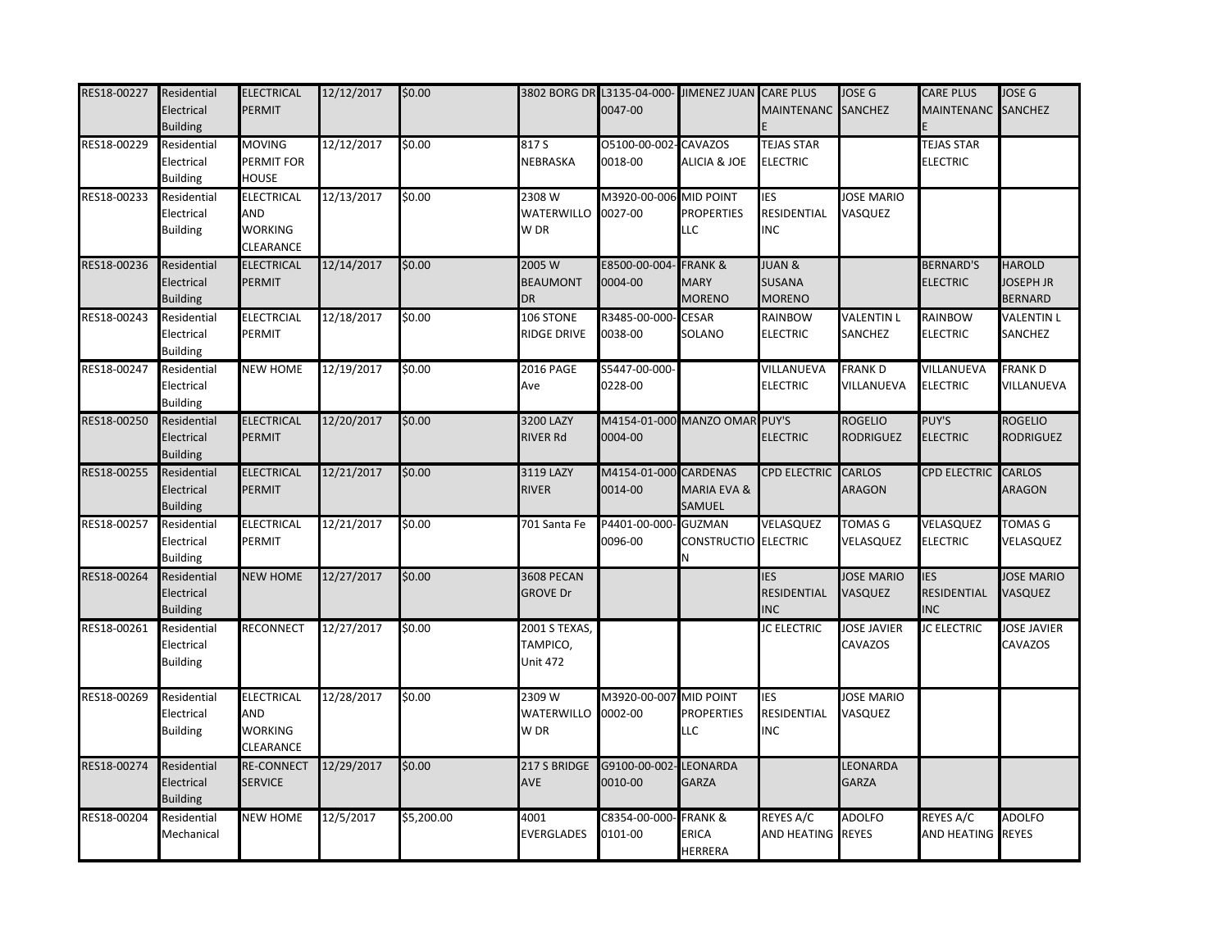| RES18-00227 Residential | Electrical<br><b>Building</b>                | <b>ELECTRICAL</b><br><b>PERMIT</b>        | 12/12/2017 | \$0.00     |                                              | 3802 BORG DR L3135-04-000- JIMENEZ JUAN CARE PLUS<br>0047-00 |                                                      | MAINTENANC SANCHEZ                                  | <b>JOSE G</b>                      | <b>CARE PLUS</b><br><b>MAINTENANC</b>          | <b>JOSE G</b><br><b>SANCHEZ</b>                     |
|-------------------------|----------------------------------------------|-------------------------------------------|------------|------------|----------------------------------------------|--------------------------------------------------------------|------------------------------------------------------|-----------------------------------------------------|------------------------------------|------------------------------------------------|-----------------------------------------------------|
| RES18-00229             | Residential<br>Electrical<br><b>Building</b> | MOVING<br>PERMIT FOR<br>HOUSE             | 12/12/2017 | \$0.00     | 817 S<br>NEBRASKA                            | 05100-00-002-CAVAZOS<br>0018-00                              | <b>ALICIA &amp; JOE</b>                              | <b>TEJAS STAR</b><br><b>ELECTRIC</b>                |                                    | <b>TEJAS STAR</b><br><b>ELECTRIC</b>           |                                                     |
| RES18-00233             | Residential<br>Electrical<br><b>Building</b> | ELECTRICAL<br>AND<br>WORKING<br>CLEARANCE | 12/13/2017 | \$0.00     | 2308 W<br>WATERWILLO<br>W DR                 | M3920-00-006 MID POINT<br>0027-00                            | <b>PROPERTIES</b><br><b>LLC</b>                      | IES<br>RESIDENTIAL<br><b>INC</b>                    | JOSE MARIO<br>VASQUEZ              |                                                |                                                     |
| RES18-00236             | Residential<br>Electrical<br><b>Building</b> | <b>ELECTRICAL</b><br>PERMIT               | 12/14/2017 | \$0.00     | 2005 W<br><b>BEAUMONT</b><br><b>DR</b>       | E8500-00-004<br>0004-00                                      | <b>FRANK &amp;</b><br><b>MARY</b><br><b>MORENO</b>   | <b>JUAN &amp;</b><br><b>SUSANA</b><br><b>MORENO</b> |                                    | <b>BERNARD'S</b><br><b>ELECTRIC</b>            | <b>HAROLD</b><br><b>JOSEPH JR</b><br><b>BERNARD</b> |
| RES18-00243             | Residential<br>Electrical<br><b>Building</b> | <b>ELECTRCIAL</b><br>PERMIT               | 12/18/2017 | \$0.00     | 106 STONE<br>RIDGE DRIVE                     | R3485-00-000-<br>0038-00                                     | - CESAR<br>SOLANO                                    | RAINBOW<br><b>ELECTRIC</b>                          | <b>VALENTIN L</b><br>SANCHEZ       | RAINBOW<br><b>ELECTRIC</b>                     | <b>VALENTIN L</b><br>SANCHEZ                        |
| RES18-00247             | Residential<br>Electrical<br><b>Building</b> | <b>NEW HOME</b>                           | 12/19/2017 | \$0.00     | 2016 PAGE<br>Ave                             | S5447-00-000-<br>0228-00                                     |                                                      | VILLANUEVA<br><b>ELECTRIC</b>                       | <b>FRANKD</b><br>VILLANUEVA        | VILLANUEVA<br><b>ELECTRIC</b>                  | <b>FRANKD</b><br>VILLANUEVA                         |
| RES18-00250             | Residential<br>Electrical<br><b>Building</b> | <b>ELECTRICAL</b><br>PERMIT               | 12/20/2017 | \$0.00     | 3200 LAZY<br><b>RIVER Rd</b>                 | M4154-01-000 MANZO OMAR PUY'S<br>0004-00                     |                                                      | <b>ELECTRIC</b>                                     | <b>ROGELIO</b><br><b>RODRIGUEZ</b> | PUY'S<br><b>ELECTRIC</b>                       | <b>ROGELIO</b><br><b>RODRIGUEZ</b>                  |
| RES18-00255             | Residential<br>Electrical<br><b>Building</b> | <b>ELECTRICAL</b><br>PERMIT               | 12/21/2017 | \$0.00     | 3119 LAZY<br><b>RIVER</b>                    | M4154-01-000 CARDENAS<br>0014-00                             | MARIA EVA &<br>SAMUEL                                | <b>CPD ELECTRIC</b>                                 | <b>CARLOS</b><br>ARAGON            | <b>CPD ELECTRIC</b>                            | <b>CARLOS</b><br><b>ARAGON</b>                      |
| RES18-00257             | Residential<br>Electrical<br><b>Building</b> | ELECTRICAL<br>PERMIT                      | 12/21/2017 | \$0.00     | 701 Santa Fe                                 | P4401-00-000<br>0096-00                                      | <b>GUZMAN</b><br>CONSTRUCTIO ELECTRIC<br>N           | VELASQUEZ                                           | <b>TOMAS G</b><br>VELASQUEZ        | VELASQUEZ<br><b>ELECTRIC</b>                   | <b>TOMAS G</b><br>VELASQUEZ                         |
| RES18-00264             | Residential<br>Electrical<br><b>Building</b> | <b>NEW HOME</b>                           | 12/27/2017 | \$0.00     | <b>3608 PECAN</b><br><b>GROVE Dr</b>         |                                                              |                                                      | <b>IES</b><br><b>RESIDENTIAL</b><br><b>INC</b>      | <b>JOSE MARIO</b><br>VASQUEZ       | <b>IES</b><br><b>RESIDENTIAL</b><br><b>INC</b> | <b>JOSE MARIO</b><br>VASQUEZ                        |
| RES18-00261             | Residential<br>Electrical<br><b>Building</b> | <b>RECONNECT</b>                          | 12/27/2017 | \$0.00     | 2001 S TEXAS,<br>TAMPICO,<br><b>Unit 472</b> |                                                              |                                                      | <b>JC ELECTRIC</b>                                  | <b>JOSE JAVIER</b><br>CAVAZOS      | <b>JC ELECTRIC</b>                             | <b>JOSE JAVIER</b><br>CAVAZOS                       |
| RES18-00269             | Residential<br>Electrical<br><b>Building</b> | ELECTRICAL<br>AND<br>WORKING<br>CLEARANCE | 12/28/2017 | \$0.00     | 2309 W<br>WATERWILLO<br>W DR                 | M3920-00-007 MID POINT<br>0002-00                            | <b>PROPERTIES</b><br><b>LLC</b>                      | <b>IES</b><br>RESIDENTIAL<br><b>INC</b>             | <b>JOSE MARIO</b><br>VASQUEZ       |                                                |                                                     |
| RES18-00274             | Residential<br>Electrical<br><b>Building</b> | <b>RE-CONNECT</b><br><b>SERVICE</b>       | 12/29/2017 | \$0.00     | 217 S BRIDGE<br><b>AVE</b>                   | G9100-00-002-LEONARDA<br>0010-00                             | <b>GARZA</b>                                         |                                                     | LEONARDA<br><b>GARZA</b>           |                                                |                                                     |
| RES18-00204             | Residential<br>Mechanical                    | <b>NEW HOME</b>                           | 12/5/2017  | \$5,200.00 | 4001<br>EVERGLADES                           | C8354-00-000<br>0101-00                                      | <b>FRANK &amp;</b><br><b>ERICA</b><br><b>HERRERA</b> | <b>REYES A/C</b><br><b>AND HEATING REYES</b>        | <b>ADOLFO</b>                      | <b>REYES A/C</b><br>AND HEATING                | <b>ADOLFO</b><br><b>REYES</b>                       |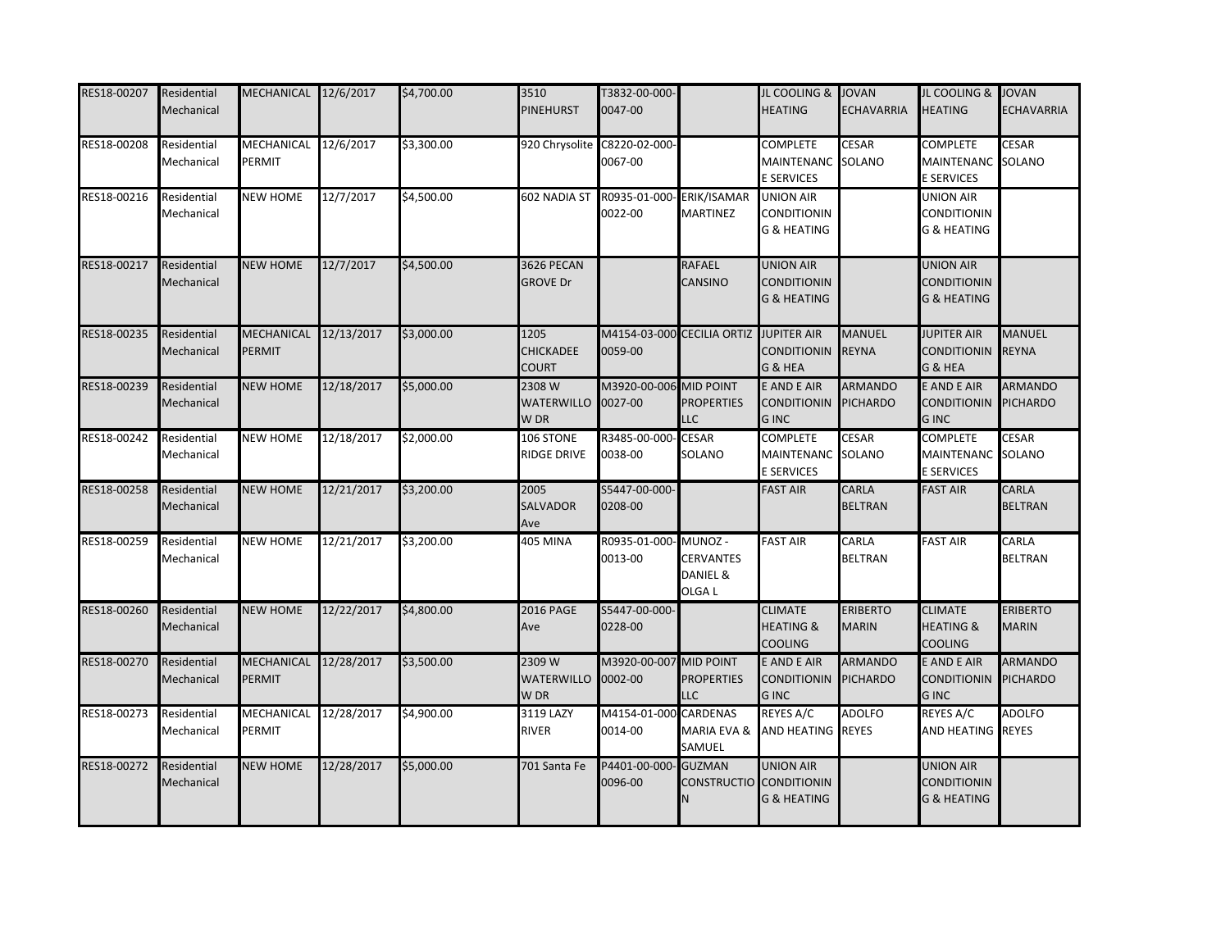| RES18-00207 | Residential<br>Mechanical | MECHANICAL 12/6/2017        |            | \$4,700.00 | 3510<br><b>PINEHURST</b>                 | T3832-00-000-<br>0047-00                |                                                   | JL COOLING & JOVAN<br><b>HEATING</b>                             | <b>ECHAVARRIA</b>                 | JL COOLING & JOVAN<br><b>HEATING</b>                      | <b>ECHAVARRIA</b>                 |
|-------------|---------------------------|-----------------------------|------------|------------|------------------------------------------|-----------------------------------------|---------------------------------------------------|------------------------------------------------------------------|-----------------------------------|-----------------------------------------------------------|-----------------------------------|
| RES18-00208 | Residential<br>Mechanical | MECHANICAL<br>PERMIT        | 12/6/2017  | \$3,300.00 |                                          | 920 Chrysolite C8220-02-000-<br>0067-00 |                                                   | <b>COMPLETE</b><br><b>MAINTENANC</b><br><b>E SERVICES</b>        | <b>CESAR</b><br>SOLANO            | <b>COMPLETE</b><br>MAINTENANC SOLANO<br>E SERVICES        | <b>CESAR</b>                      |
| RES18-00216 | Residential<br>Mechanical | <b>NEW HOME</b>             | 12/7/2017  | \$4,500.00 | 602 NADIA ST                             | R0935-01-000<br>0022-00                 | <b>ERIK/ISAMAR</b><br><b>MARTINEZ</b>             | <b>UNION AIR</b><br><b>CONDITIONIN</b><br><b>G &amp; HEATING</b> |                                   | UNION AIR<br><b>CONDITIONIN</b><br>G & HEATING            |                                   |
| RES18-00217 | Residential<br>Mechanical | <b>NEW HOME</b>             | 12/7/2017  | \$4,500.00 | 3626 PECAN<br><b>GROVE Dr</b>            |                                         | RAFAEL<br>CANSINO                                 | <b>UNION AIR</b><br><b>CONDITIONIN</b><br><b>G &amp; HEATING</b> |                                   | UNION AIR<br><b>CONDITIONIN</b><br><b>G &amp; HEATING</b> |                                   |
| RES18-00235 | Residential<br>Mechanical | <b>MECHANICAL</b><br>PERMIT | 12/13/2017 | \$3,000.00 | 1205<br><b>CHICKADEE</b><br><b>COURT</b> | 0059-00                                 | M4154-03-000 CECILIA ORTIZ JUPITER AIR            | <b>CONDITIONIN</b><br>G & HEA                                    | <b>MANUEL</b><br><b>REYNA</b>     | <b>JUPITER AIR</b><br><b>CONDITIONIN</b><br>G & HEA       | <b>MANUEL</b><br><b>REYNA</b>     |
| RES18-00239 | Residential<br>Mechanical | <b>NEW HOME</b>             | 12/18/2017 | \$5,000.00 | 2308 W<br><b>WATERWILLO</b><br>W DR      | M3920-00-006 MID POINT<br>0027-00       | <b>PROPERTIES</b><br>LLC                          | E AND E AIR<br><b>CONDITIONIN</b><br><b>GINC</b>                 | <b>ARMANDO</b><br><b>PICHARDO</b> | E AND E AIR<br><b>CONDITIONIN</b><br><b>GINC</b>          | <b>ARMANDO</b><br>PICHARDO        |
| RES18-00242 | Residential<br>Mechanical | <b>NEW HOME</b>             | 12/18/2017 | \$2,000.00 | 106 STONE<br><b>RIDGE DRIVE</b>          | R3485-00-000<br>0038-00                 | - CESAR<br>SOLANO                                 | <b>COMPLETE</b><br><b>MAINTENANC</b><br><b>E SERVICES</b>        | <b>CESAR</b><br>SOLANO            | <b>COMPLETE</b><br>MAINTENANC SOLANO<br>E SERVICES        | <b>CESAR</b>                      |
| RES18-00258 | Residential<br>Mechanical | <b>NEW HOME</b>             | 12/21/2017 | \$3,200.00 | 2005<br><b>SALVADOR</b><br>Ave           | S5447-00-000-<br>0208-00                |                                                   | <b>FAST AIR</b>                                                  | CARLA<br><b>BELTRAN</b>           | <b>FAST AIR</b>                                           | CARLA<br><b>BELTRAN</b>           |
| RES18-00259 | Residential<br>Mechanical | <b>NEW HOME</b>             | 12/21/2017 | \$3,200.00 | <b>405 MINA</b>                          | R0935-01-000-MUNOZ -<br>0013-00         | <b>CERVANTES</b><br>DANIEL &<br>OLGA <sub>L</sub> | <b>FAST AIR</b>                                                  | CARLA<br><b>BELTRAN</b>           | <b>FAST AIR</b>                                           | CARLA<br><b>BELTRAN</b>           |
| RES18-00260 | Residential<br>Mechanical | <b>NEW HOME</b>             | 12/22/2017 | \$4,800.00 | <b>2016 PAGE</b><br>Ave                  | S5447-00-000-<br>0228-00                |                                                   | <b>CLIMATE</b><br><b>HEATING &amp;</b><br><b>COOLING</b>         | <b>ERIBERTO</b><br><b>MARIN</b>   | <b>CLIMATE</b><br><b>HEATING &amp;</b><br><b>COOLING</b>  | <b>ERIBERTO</b><br><b>MARIN</b>   |
| RES18-00270 | Residential<br>Mechanical | MECHANICAL<br>PERMIT        | 12/28/2017 | \$3,500.00 | 2309 W<br><b>WATERWILLO</b><br>W DR      | M3920-00-007<br>0002-00                 | MID POINT<br><b>PROPERTIES</b><br>LLC             | E AND E AIR<br><b>CONDITIONIN</b><br><b>GINC</b>                 | <b>ARMANDO</b><br><b>PICHARDO</b> | E AND E AIR<br><b>CONDITIONIN</b><br><b>GINC</b>          | <b>ARMANDO</b><br><b>PICHARDO</b> |
| RES18-00273 | Residential<br>Mechanical | <b>MECHANICAL</b><br>PERMIT | 12/28/2017 | \$4,900.00 | 3119 LAZY<br>RIVER                       | M4154-01-000 CARDENAS<br>0014-00        | MARIA EVA &<br>SAMUEL                             | REYES A/C<br>AND HEATING REYES                                   | <b>ADOLFO</b>                     | REYES A/C<br>AND HEATING REYES                            | <b>ADOLFO</b>                     |
| RES18-00272 | Residential<br>Mechanical | <b>NEW HOME</b>             | 12/28/2017 | \$5,000.00 | 701 Santa Fe                             | P4401-00-000<br>0096-00                 | <b>GUZMAN</b><br>CONSTRUCTIO CONDITIONIN<br>N     | <b>UNION AIR</b><br><b>G &amp; HEATING</b>                       |                                   | UNION AIR<br><b>CONDITIONIN</b><br><b>G &amp; HEATING</b> |                                   |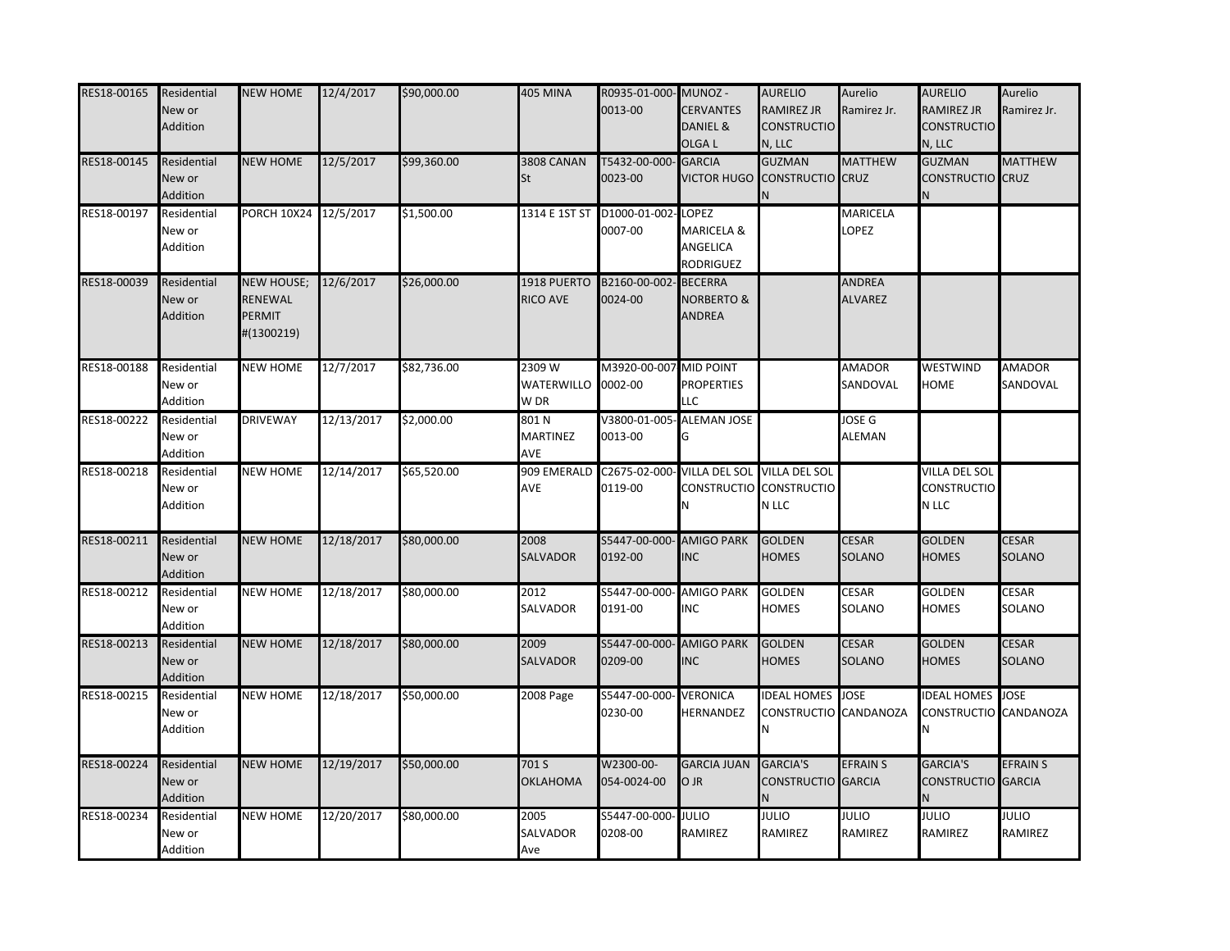| RES18-00165 | Residential<br>New or<br>Addition | <b>NEW HOME</b>                               | 12/4/2017  | \$90,000.00 | <b>405 MINA</b>                      | R0935-01-000-MUNOZ-<br>0013-00      | <b>CERVANTES</b><br>DANIEL &<br>OLGA L                   | <b>AURELIO</b><br><b>RAMIREZ JR</b><br><b>CONSTRUCTIO</b><br>N, LLC | Aurelio<br>Ramirez Jr.   | <b>AURELIO</b><br><b>RAMIREZ JR</b><br><b>CONSTRUCTIO</b><br>N, LLC | Aurelio<br>Ramirez Jr.        |
|-------------|-----------------------------------|-----------------------------------------------|------------|-------------|--------------------------------------|-------------------------------------|----------------------------------------------------------|---------------------------------------------------------------------|--------------------------|---------------------------------------------------------------------|-------------------------------|
| RES18-00145 | Residential<br>New or<br>Addition | <b>NEW HOME</b>                               | 12/5/2017  | \$99,360.00 | 3808 CANAN<br><b>St</b>              | T5432-00-000- GARCIA<br>0023-00     |                                                          | <b>GUZMAN</b><br>VICTOR HUGO CONSTRUCTIO CRUZ                       | <b>MATTHEW</b>           | <b>GUZMAN</b><br><b>CONSTRUCTIO</b> CRUZ                            | <b>MATTHEW</b>                |
| RES18-00197 | Residential<br>New or<br>Addition | PORCH 10X24                                   | 12/5/2017  | \$1,500.00  | 1314 E 1ST ST                        | D1000-01-002-LOPEZ<br>0007-00       | MARICELA &<br>ANGELICA<br><b>RODRIGUEZ</b>               |                                                                     | MARICELA<br>LOPEZ        |                                                                     |                               |
| RES18-00039 | Residential<br>New or<br>Addition | NEW HOUSE;<br>RENEWAL<br>PERMIT<br>#(1300219) | 12/6/2017  | \$26,000.00 | 1918 PUERTO<br><b>RICO AVE</b>       | B2160-00-002<br>0024-00             | <b>BECERRA</b><br><b>NORBERTO &amp;</b><br><b>ANDREA</b> |                                                                     | ANDREA<br><b>ALVAREZ</b> |                                                                     |                               |
| RES18-00188 | Residential<br>New or<br>Addition | <b>NEW HOME</b>                               | 12/7/2017  | \$82,736.00 | 2309 W<br>WATERWILLO 0002-00<br>W DR | M3920-00-007 MID POINT              | <b>PROPERTIES</b><br><b>LLC</b>                          |                                                                     | AMADOR<br>SANDOVAL       | WESTWIND<br><b>HOME</b>                                             | <b>AMADOR</b><br>SANDOVAL     |
| RES18-00222 | Residential<br>New or<br>Addition | <b>DRIVEWAY</b>                               | 12/13/2017 | \$2,000.00  | 801N<br><b>MARTINEZ</b><br>AVE       | V3800-01-005<br>0013-00             | <b>ALEMAN JOSE</b><br>G                                  |                                                                     | JOSE G<br><b>ALEMAN</b>  |                                                                     |                               |
| RES18-00218 | Residential<br>New or<br>Addition | <b>NEW HOME</b>                               | 12/14/2017 | \$65,520.00 | 909 EMERALD<br>AVE                   | C2675-02-000<br>0119-00             | <b>VILLA DEL SOL</b><br>N                                | <b>VILLA DEL SOL</b><br>CONSTRUCTIO CONSTRUCTIO<br>N LLC            |                          | VILLA DEL SOL<br><b>CONSTRUCTIO</b><br>N LLC                        |                               |
| RES18-00211 | Residential<br>New or<br>Addition | <b>NEW HOME</b>                               | 12/18/2017 | \$80,000.00 | 2008<br>SALVADOR                     | S5447-00-000- AMIGO PARK<br>0192-00 | <b>INC</b>                                               | <b>GOLDEN</b><br><b>HOMES</b>                                       | <b>CESAR</b><br>SOLANO   | <b>GOLDEN</b><br><b>HOMES</b>                                       | <b>CESAR</b><br><b>SOLANO</b> |
| RES18-00212 | Residential<br>New or<br>Addition | <b>NEW HOME</b>                               | 12/18/2017 | \$80,000.00 | 2012<br>SALVADOR                     | S5447-00-000-<br>0191-00            | <b>AMIGO PARK</b><br><b>INC</b>                          | <b>GOLDEN</b><br><b>HOMES</b>                                       | CESAR<br>SOLANO          | GOLDEN<br><b>HOMES</b>                                              | <b>CESAR</b><br>SOLANO        |
| RES18-00213 | Residential<br>New or<br>Addition | <b>NEW HOME</b>                               | 12/18/2017 | \$80,000.00 | 2009<br><b>SALVADOR</b>              | S5447-00-000-<br>0209-00            | <b>AMIGO PARK</b><br><b>INC</b>                          | <b>GOLDEN</b><br><b>HOMES</b>                                       | <b>CESAR</b><br>SOLANO   | <b>GOLDEN</b><br><b>HOMES</b>                                       | <b>CESAR</b><br><b>SOLANO</b> |
| RES18-00215 | Residential<br>New or<br>Addition | <b>NEW HOME</b>                               | 12/18/2017 | \$50,000.00 | 2008 Page                            | S5447-00-000- VERONICA<br>0230-00   | HERNANDEZ                                                | <b>IDEAL HOMES</b><br>CONSTRUCTIO CANDANOZA<br>N                    | <b>JOSE</b>              | <b>IDEAL HOMES</b><br>CONSTRUCTIO CANDANOZA<br>Ν                    | <b>JOSE</b>                   |
| RES18-00224 | Residential<br>New or<br>Addition | <b>NEW HOME</b>                               | 12/19/2017 | \$50,000.00 | 701 S<br><b>OKLAHOMA</b>             | W2300-00-<br>054-0024-00            | <b>GARCIA JUAN</b><br>O JR                               | <b>GARCIA'S</b><br>CONSTRUCTIO GARCIA                               | <b>EFRAIN S</b>          | <b>GARCIA'S</b><br>CONSTRUCTIO GARCIA                               | <b>EFRAIN S</b>               |
| RES18-00234 | Residential<br>New or<br>Addition | <b>NEW HOME</b>                               | 12/20/2017 | \$80,000.00 | 2005<br>SALVADOR<br>Ave              | S5447-00-000- JULIO<br>0208-00      | RAMIREZ                                                  | <b>JULIO</b><br>RAMIREZ                                             | JULIO<br>RAMIREZ         | <b>JULIO</b><br>RAMIREZ                                             | <b>JULIO</b><br>RAMIREZ       |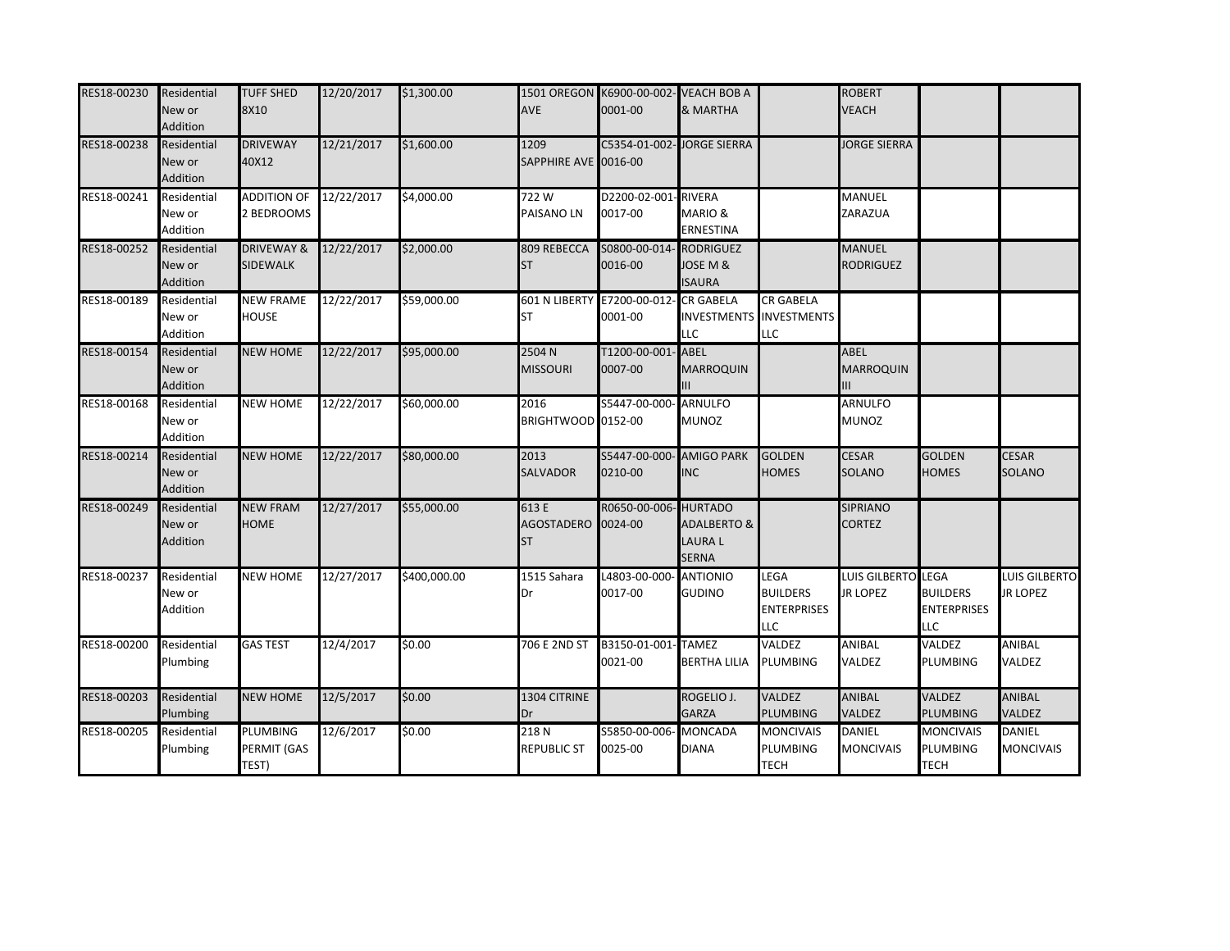| RES18-00230 | Residential<br>New or<br>Addition        | <b>TUFF SHED</b><br>8X10                 | 12/20/2017 | \$1,300.00   | AVE                                      | 1501 OREGON K6900-00-002- VEACH BOB A<br>0001-00 | & MARTHA                                                |                                                      | <b>ROBERT</b><br><b>VEACH</b>         |                                                     |                                   |
|-------------|------------------------------------------|------------------------------------------|------------|--------------|------------------------------------------|--------------------------------------------------|---------------------------------------------------------|------------------------------------------------------|---------------------------------------|-----------------------------------------------------|-----------------------------------|
| RES18-00238 | Residential<br>New or<br>Addition        | <b>DRIVEWAY</b><br>40X12                 | 12/21/2017 | \$1,600.00   | 1209<br>SAPPHIRE AVE 0016-00             | C5354-01-002- JORGE SIERRA                       |                                                         |                                                      | <b>JORGE SIERRA</b>                   |                                                     |                                   |
| RES18-00241 | Residential<br>New or<br>Addition        | <b>ADDITION OF</b><br>2 BEDROOMS         | 12/22/2017 | \$4,000.00   | 722W<br>PAISANO LN                       | D2200-02-001-RIVERA<br>0017-00                   | <b>MARIO &amp;</b><br><b>ERNESTINA</b>                  |                                                      | MANUEL<br>ZARAZUA                     |                                                     |                                   |
| RES18-00252 | Residential<br>New or<br>Addition        | <b>DRIVEWAY &amp;</b><br><b>SIDEWALK</b> | 12/22/2017 | \$2,000.00   | 809 REBECCA<br><b>ST</b>                 | S0800-00-014- RODRIGUEZ<br>0016-00               | JOSE M &<br><b>ISAURA</b>                               |                                                      | <b>MANUEL</b><br><b>RODRIGUEZ</b>     |                                                     |                                   |
| RES18-00189 | Residential<br>New or<br>Addition        | <b>NEW FRAME</b><br><b>HOUSE</b>         | 12/22/2017 | \$59,000.00  | <b>ST</b>                                | 601 N LIBERTY E7200-00-012- CR GABELA<br>0001-00 | <b>INVESTMENTS</b><br><b>LLC</b>                        | <b>CR GABELA</b><br><b>INVESTMENTS</b><br>LLC        |                                       |                                                     |                                   |
| RES18-00154 | Residential<br>New or<br>Addition        | <b>NEW HOME</b>                          | 12/22/2017 | \$95,000.00  | 2504 N<br><b>MISSOURI</b>                | T1200-00-001- ABEL<br>0007-00                    | <b>MARROQUIN</b><br>Ш                                   |                                                      | ABEL<br><b>MARROQUIN</b><br>Ш         |                                                     |                                   |
| RES18-00168 | Residential<br>New or<br>Addition        | <b>NEW HOME</b>                          | 12/22/2017 | \$60,000.00  | 2016<br>BRIGHTWOOD 0152-00               | S5447-00-000- ARNULFO                            | <b>MUNOZ</b>                                            |                                                      | ARNULFO<br><b>MUNOZ</b>               |                                                     |                                   |
| RES18-00214 | Residential<br>New or<br>Addition        | <b>NEW HOME</b>                          | 12/22/2017 | \$80,000.00  | 2013<br><b>SALVADOR</b>                  | S5447-00-000- AMIGO PARK<br>0210-00              | <b>INC</b>                                              | <b>GOLDEN</b><br><b>HOMES</b>                        | <b>CESAR</b><br><b>SOLANO</b>         | <b>GOLDEN</b><br><b>HOMES</b>                       | <b>CESAR</b><br>SOLANO            |
| RES18-00249 | Residential<br>New or<br><b>Addition</b> | <b>NEW FRAM</b><br><b>HOME</b>           | 12/27/2017 | \$55,000.00  | 613 E<br>AGOSTADERO 0024-00<br><b>ST</b> | R0650-00-006- HURTADO                            | <b>ADALBERTO &amp;</b><br><b>LAURAL</b><br><b>SERNA</b> |                                                      | <b>SIPRIANO</b><br><b>CORTEZ</b>      |                                                     |                                   |
| RES18-00237 | Residential<br>New or<br>Addition        | <b>NEW HOME</b>                          | 12/27/2017 | \$400,000.00 | 1515 Sahara<br>Dr                        | L4803-00-000<br>0017-00                          | <b>ANTIONIO</b><br><b>GUDINO</b>                        | LEGA<br><b>BUILDERS</b><br><b>ENTERPRISES</b><br>LLC | LUIS GILBERTO LEGA<br><b>JR LOPEZ</b> | <b>BUILDERS</b><br><b>ENTERPRISES</b><br><b>LLC</b> | LUIS GILBERTO<br><b>JR LOPEZ</b>  |
| RES18-00200 | Residential<br>Plumbing                  | <b>GAS TEST</b>                          | 12/4/2017  | \$0.00       | 706 E 2ND ST                             | B3150-01-001- TAMEZ<br>0021-00                   | <b>BERTHA LILIA</b>                                     | VALDEZ<br>PLUMBING                                   | ANIBAL<br>VALDEZ                      | VALDEZ<br>PLUMBING                                  | <b>ANIBAL</b><br>VALDEZ           |
| RES18-00203 | Residential<br>Plumbing                  | <b>NEW HOME</b>                          | 12/5/2017  | \$0.00       | 1304 CITRINE<br>Dr                       |                                                  | ROGELIO J.<br><b>GARZA</b>                              | <b>VALDEZ</b><br>PLUMBING                            | <b>ANIBAL</b><br>VALDEZ               | <b>VALDEZ</b><br><b>PLUMBING</b>                    | <b>ANIBAL</b><br>VALDEZ           |
| RES18-00205 | Residential<br>Plumbing                  | <b>PLUMBING</b><br>PERMIT (GAS<br>TEST)  | 12/6/2017  | \$0.00       | 218N<br><b>REPUBLIC ST</b>               | S5850-00-006<br>0025-00                          | <b>MONCADA</b><br><b>DIANA</b>                          | <b>MONCIVAIS</b><br>PLUMBING<br><b>TECH</b>          | <b>DANIEL</b><br><b>MONCIVAIS</b>     | <b>MONCIVAIS</b><br><b>PLUMBING</b><br><b>TECH</b>  | <b>DANIEL</b><br><b>MONCIVAIS</b> |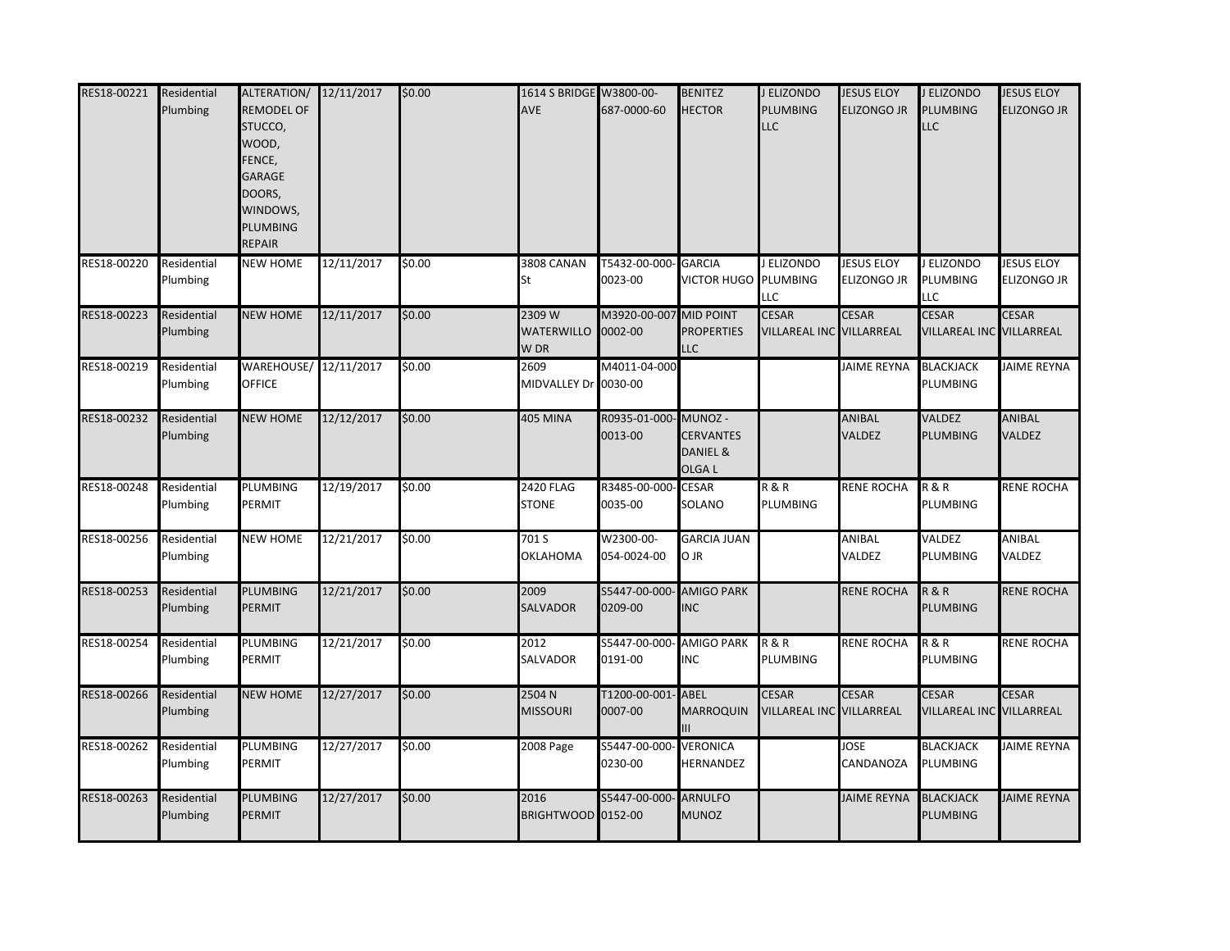| RES18-00221 | Residential<br>Plumbing        | ALTERATION/ 12/11/2017<br><b>REMODEL OF</b><br>STUCCO,<br>WOOD,<br>ENCE,<br>GARAGE<br>DOORS,<br>WINDOWS,<br>PLUMBING<br>REPAIR |            | \$0.00 | 1614 S BRIDGE W3800-00-<br><b>AVE</b> | 687-0000-60                    | <b>BENITEZ</b><br><b>HECTOR</b>                   | J ELIZONDO<br><b>PLUMBING</b><br><b>LLC</b> | <b>JESUS ELOY</b><br><b>ELIZONGO JR</b> | J ELIZONDO<br>PLUMBING<br>LLC            | <b>JESUS ELOY</b><br><b>LIZONGO JR</b> |
|-------------|--------------------------------|--------------------------------------------------------------------------------------------------------------------------------|------------|--------|---------------------------------------|--------------------------------|---------------------------------------------------|---------------------------------------------|-----------------------------------------|------------------------------------------|----------------------------------------|
| RES18-00220 | Residential<br>Plumbing        | <b>NEW HOME</b>                                                                                                                | 12/11/2017 | \$0.00 | 3808 CANAN<br>St                      | T5432-00-000<br>0023-00        | <b>GARCIA</b><br>VICTOR HUGO PLUMBING             | J ELIZONDO<br>LLC                           | <b>JESUS ELOY</b><br><b>ELIZONGO JR</b> | J ELIZONDO<br>PLUMBING<br>LLC            | <b>JESUS ELOY</b><br>Elizongo Jr       |
| RES18-00223 | Residential<br>Plumbing        | <b>NEW HOME</b>                                                                                                                | 12/11/2017 | \$0.00 | 2309 W<br><b>WATERWILLO</b><br>W DR   | M3920-00-007<br>0002-00        | <b>MID POINT</b><br><b>PROPERTIES</b><br>LLC      | <b>CESAR</b><br>VILLAREAL INC VILLARREAL    | <b>CESAR</b>                            | <b>CESAR</b><br>VILLAREAL INC VILLARREAL | <b>CESAR</b>                           |
| RES18-00219 | Residential<br>Plumbing        | WAREHOUSE/ 12/11/2017<br><b>OFFICE</b>                                                                                         |            | \$0.00 | 2609<br>MIDVALLEY Dr 0030-00          | M4011-04-000                   |                                                   |                                             | <b>JAIME REYNA</b>                      | <b>BLACKJACK</b><br>PLUMBING             | <b>JAIME REYNA</b>                     |
| RES18-00232 | Residential<br>Plumbing        | <b>NEW HOME</b>                                                                                                                | 12/12/2017 | \$0.00 | <b>405 MINA</b>                       | R0935-01-000-MUNOZ-<br>0013-00 | <b>CERVANTES</b><br>DANIEL &<br>OLGA <sub>L</sub> |                                             | ANIBAL<br>VALDEZ                        | <b>VALDEZ</b><br>PLUMBING                | <b>ANIBAL</b><br>VALDEZ                |
| RES18-00248 | Residential<br>Plumbing        | <b>PLUMBING</b><br>PERMIT                                                                                                      | 12/19/2017 | \$0.00 | <b>2420 FLAG</b><br><b>STONE</b>      | R3485-00-000- CESAR<br>0035-00 | SOLANO                                            | <b>R&amp;R</b><br><b>PLUMBING</b>           | <b>RENE ROCHA</b>                       | <b>R&amp;R</b><br>PLUMBING               | <b>RENE ROCHA</b>                      |
| RES18-00256 | Residential<br>Plumbing        | <b>NEW HOME</b>                                                                                                                | 12/21/2017 | \$0.00 | 701 S<br><b>OKLAHOMA</b>              | W2300-00-<br>054-0024-00       | <b>GARCIA JUAN</b><br>O JR                        |                                             | ANIBAL<br>VALDEZ                        | VALDEZ<br>PLUMBING                       | ANIBAL<br>VALDEZ                       |
| RES18-00253 | Residential<br>Plumbing        | <b>PLUMBING</b><br>PERMIT                                                                                                      | 12/21/2017 | \$0.00 | 2009<br><b>SALVADOR</b>               | S5447-00-000<br>0209-00        | <b>AMIGO PARK</b><br><b>INC</b>                   |                                             | <b>RENE ROCHA</b>                       | <b>R&amp;R</b><br>PLUMBING               | <b>RENE ROCHA</b>                      |
| RES18-00254 | Residential<br><b>Plumbing</b> | PLUMBING<br>PERMIT                                                                                                             | 12/21/2017 | \$0.00 | 2012<br>SALVADOR                      | S5447-00-000<br>0191-00        | <b>AMIGO PARK</b><br><b>INC</b>                   | <b>R&amp;R</b><br>PLUMBING                  | <b>RENE ROCHA</b>                       | <b>R&amp;R</b><br>PLUMBING               | RENE ROCHA                             |
| RES18-00266 | Residential<br>Plumbing        | <b>NEW HOME</b>                                                                                                                | 12/27/2017 | \$0.00 | 2504 N<br><b>MISSOURI</b>             | T1200-00-001<br>0007-00        | <b>ABEL</b><br>MARROQUIN                          | <b>CESAR</b><br>VILLAREAL INC VILLARREAL    | <b>CESAR</b>                            | <b>CESAR</b><br>VILLAREAL INC VILLARREAL | <b>CESAR</b>                           |
| RES18-00262 | Residential<br>Plumbing        | <b>PLUMBING</b><br>PERMIT                                                                                                      | 12/27/2017 | \$0.00 | 2008 Page                             | S5447-00-000<br>0230-00        | <b>VERONICA</b><br>HERNANDEZ                      |                                             | <b>JOSE</b><br>CANDANOZA                | <b>BLACKJACK</b><br>PLUMBING             | <b>JAIME REYNA</b>                     |
| RES18-00263 | Residential<br>Plumbing        | <b>PLUMBING</b><br>PERMIT                                                                                                      | 12/27/2017 | \$0.00 | 2016<br>BRIGHTWOOD 0152-00            | S5447-00-000-                  | <b>ARNULFO</b><br><b>MUNOZ</b>                    |                                             | <b>JAIME REYNA</b>                      | <b>BLACKJACK</b><br>PLUMBING             | <b>JAIME REYNA</b>                     |